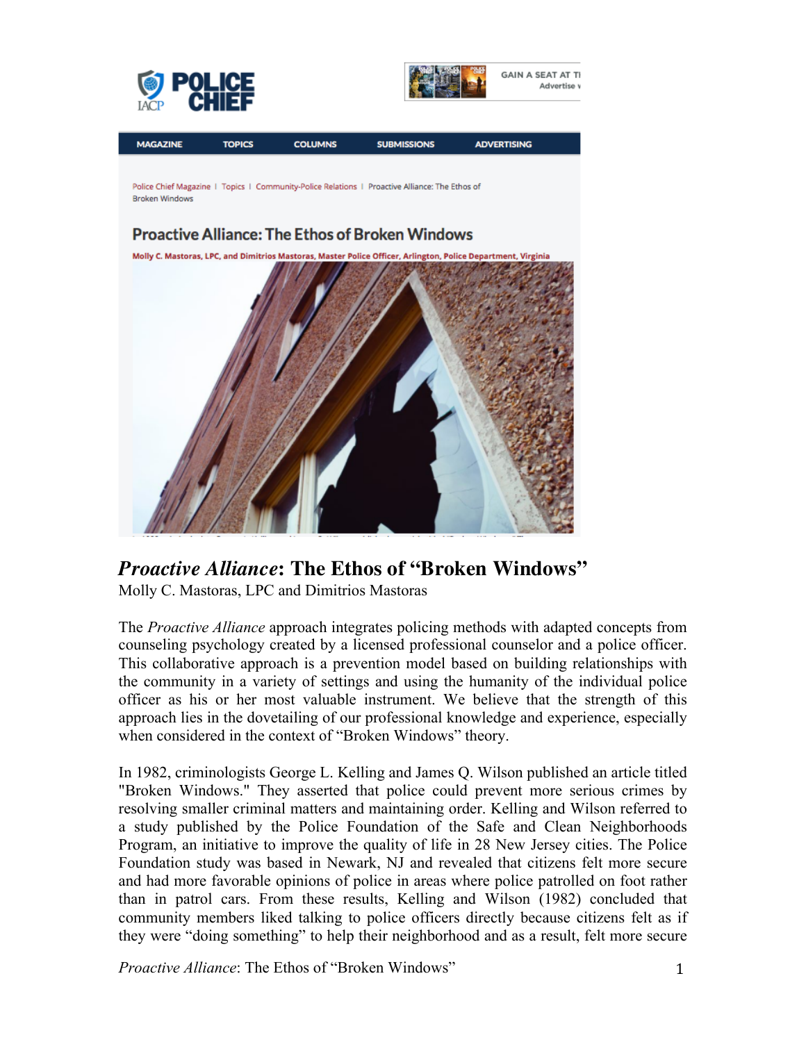





## *Proactive Alliance***: The Ethos of "Broken Windows"**

Molly C. Mastoras, LPC and Dimitrios Mastoras

The *Proactive Alliance* approach integrates policing methods with adapted concepts from counseling psychology created by a licensed professional counselor and a police officer. This collaborative approach is a prevention model based on building relationships with the community in a variety of settings and using the humanity of the individual police officer as his or her most valuable instrument. We believe that the strength of this approach lies in the dovetailing of our professional knowledge and experience, especially when considered in the context of "Broken Windows" theory.

In 1982, criminologists George L. Kelling and James Q. Wilson published an article titled "Broken Windows." They asserted that police could prevent more serious crimes by resolving smaller criminal matters and maintaining order. Kelling and Wilson referred to a study published by the Police Foundation of the Safe and Clean Neighborhoods Program, an initiative to improve the quality of life in 28 New Jersey cities. The Police Foundation study was based in Newark, NJ and revealed that citizens felt more secure and had more favorable opinions of police in areas where police patrolled on foot rather than in patrol cars. From these results, Kelling and Wilson (1982) concluded that community members liked talking to police officers directly because citizens felt as if they were "doing something" to help their neighborhood and as a result, felt more secure

*Proactive Alliance*: The Ethos of "Broken Windows" 1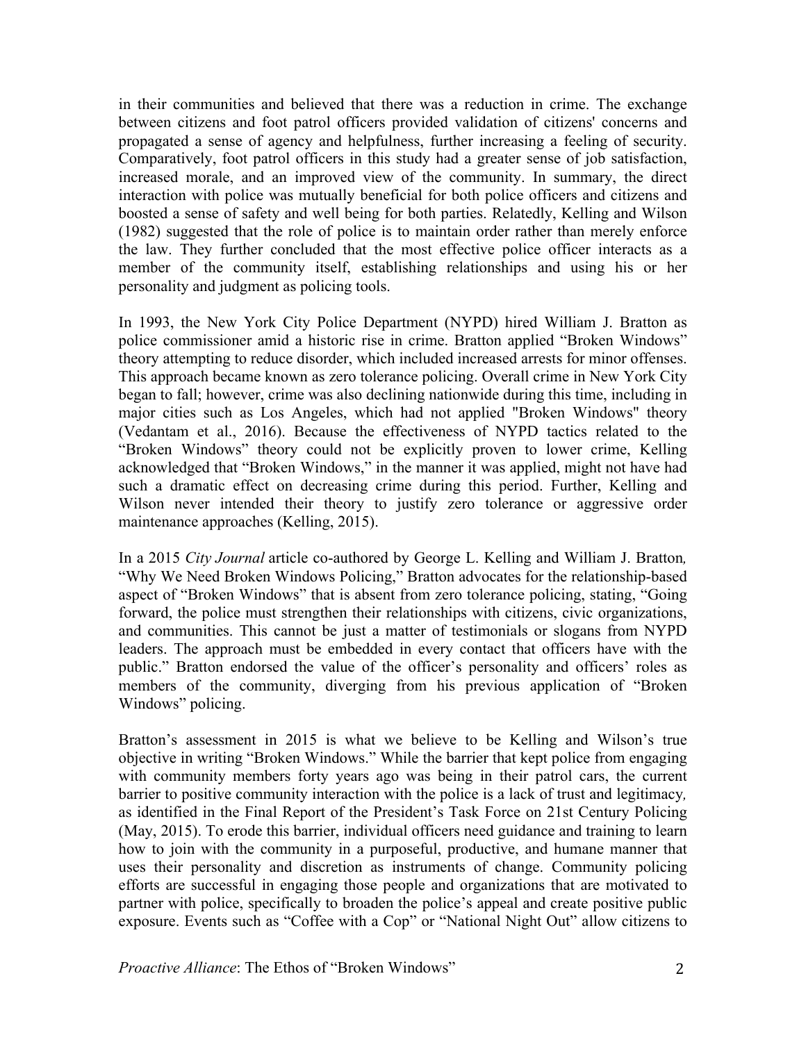in their communities and believed that there was a reduction in crime. The exchange between citizens and foot patrol officers provided validation of citizens' concerns and propagated a sense of agency and helpfulness, further increasing a feeling of security. Comparatively, foot patrol officers in this study had a greater sense of job satisfaction, increased morale, and an improved view of the community. In summary, the direct interaction with police was mutually beneficial for both police officers and citizens and boosted a sense of safety and well being for both parties. Relatedly, Kelling and Wilson (1982) suggested that the role of police is to maintain order rather than merely enforce the law. They further concluded that the most effective police officer interacts as a member of the community itself, establishing relationships and using his or her personality and judgment as policing tools.

In 1993, the New York City Police Department (NYPD) hired William J. Bratton as police commissioner amid a historic rise in crime. Bratton applied "Broken Windows" theory attempting to reduce disorder, which included increased arrests for minor offenses. This approach became known as zero tolerance policing. Overall crime in New York City began to fall; however, crime was also declining nationwide during this time, including in major cities such as Los Angeles, which had not applied "Broken Windows" theory (Vedantam et al., 2016). Because the effectiveness of NYPD tactics related to the "Broken Windows" theory could not be explicitly proven to lower crime, Kelling acknowledged that "Broken Windows," in the manner it was applied, might not have had such a dramatic effect on decreasing crime during this period. Further, Kelling and Wilson never intended their theory to justify zero tolerance or aggressive order maintenance approaches (Kelling, 2015).

In a 2015 *City Journal* article co-authored by George L. Kelling and William J. Bratton*,*  "Why We Need Broken Windows Policing," Bratton advocates for the relationship-based aspect of "Broken Windows" that is absent from zero tolerance policing, stating, "Going forward, the police must strengthen their relationships with citizens, civic organizations, and communities. This cannot be just a matter of testimonials or slogans from NYPD leaders. The approach must be embedded in every contact that officers have with the public." Bratton endorsed the value of the officer's personality and officers' roles as members of the community, diverging from his previous application of "Broken Windows" policing.

Bratton's assessment in 2015 is what we believe to be Kelling and Wilson's true objective in writing "Broken Windows." While the barrier that kept police from engaging with community members forty years ago was being in their patrol cars, the current barrier to positive community interaction with the police is a lack of trust and legitimacy*,*  as identified in the Final Report of the President's Task Force on 21st Century Policing (May, 2015). To erode this barrier, individual officers need guidance and training to learn how to join with the community in a purposeful, productive, and humane manner that uses their personality and discretion as instruments of change. Community policing efforts are successful in engaging those people and organizations that are motivated to partner with police, specifically to broaden the police's appeal and create positive public exposure. Events such as "Coffee with a Cop" or "National Night Out" allow citizens to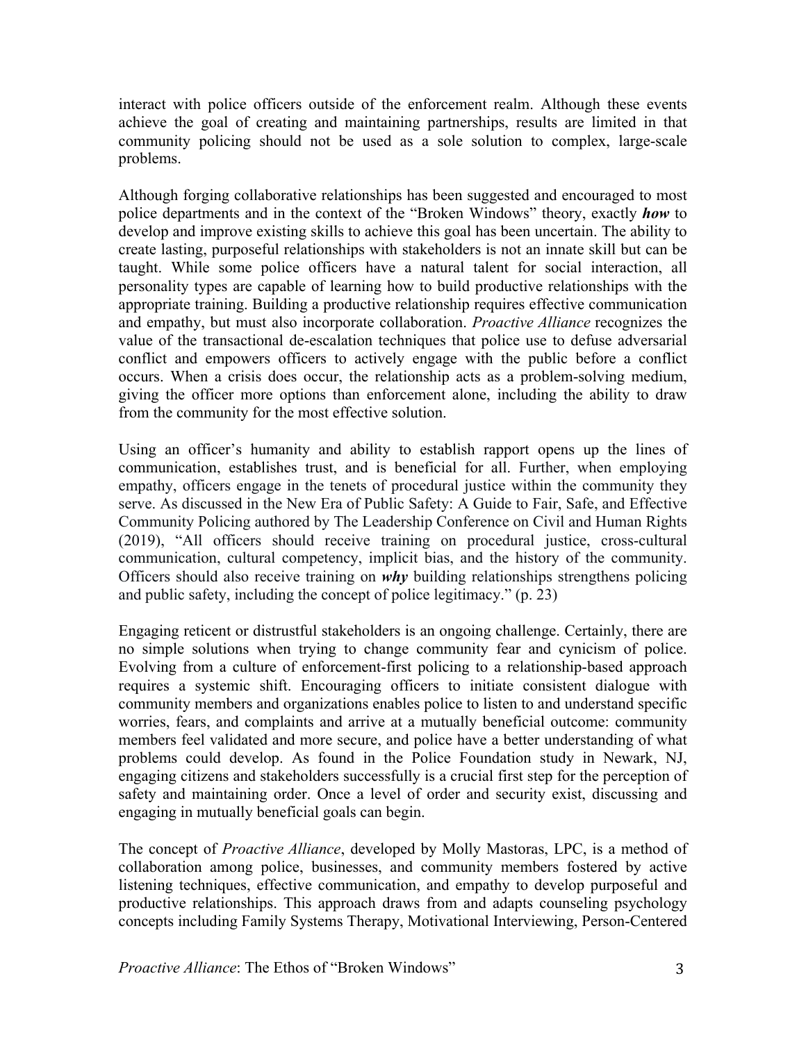interact with police officers outside of the enforcement realm. Although these events achieve the goal of creating and maintaining partnerships, results are limited in that community policing should not be used as a sole solution to complex, large-scale problems.

Although forging collaborative relationships has been suggested and encouraged to most police departments and in the context of the "Broken Windows" theory, exactly *how* to develop and improve existing skills to achieve this goal has been uncertain. The ability to create lasting, purposeful relationships with stakeholders is not an innate skill but can be taught. While some police officers have a natural talent for social interaction, all personality types are capable of learning how to build productive relationships with the appropriate training. Building a productive relationship requires effective communication and empathy, but must also incorporate collaboration. *Proactive Alliance* recognizes the value of the transactional de-escalation techniques that police use to defuse adversarial conflict and empowers officers to actively engage with the public before a conflict occurs. When a crisis does occur, the relationship acts as a problem-solving medium, giving the officer more options than enforcement alone, including the ability to draw from the community for the most effective solution.

Using an officer's humanity and ability to establish rapport opens up the lines of communication, establishes trust, and is beneficial for all. Further, when employing empathy, officers engage in the tenets of procedural justice within the community they serve. As discussed in the New Era of Public Safety: A Guide to Fair, Safe, and Effective Community Policing authored by The Leadership Conference on Civil and Human Rights (2019), "All officers should receive training on procedural justice, cross-cultural communication, cultural competency, implicit bias, and the history of the community. Officers should also receive training on *why* building relationships strengthens policing and public safety, including the concept of police legitimacy." (p. 23)

Engaging reticent or distrustful stakeholders is an ongoing challenge. Certainly, there are no simple solutions when trying to change community fear and cynicism of police. Evolving from a culture of enforcement-first policing to a relationship-based approach requires a systemic shift. Encouraging officers to initiate consistent dialogue with community members and organizations enables police to listen to and understand specific worries, fears, and complaints and arrive at a mutually beneficial outcome: community members feel validated and more secure, and police have a better understanding of what problems could develop. As found in the Police Foundation study in Newark, NJ, engaging citizens and stakeholders successfully is a crucial first step for the perception of safety and maintaining order. Once a level of order and security exist, discussing and engaging in mutually beneficial goals can begin.

The concept of *Proactive Alliance*, developed by Molly Mastoras, LPC, is a method of collaboration among police, businesses, and community members fostered by active listening techniques, effective communication, and empathy to develop purposeful and productive relationships. This approach draws from and adapts counseling psychology concepts including Family Systems Therapy, Motivational Interviewing, Person-Centered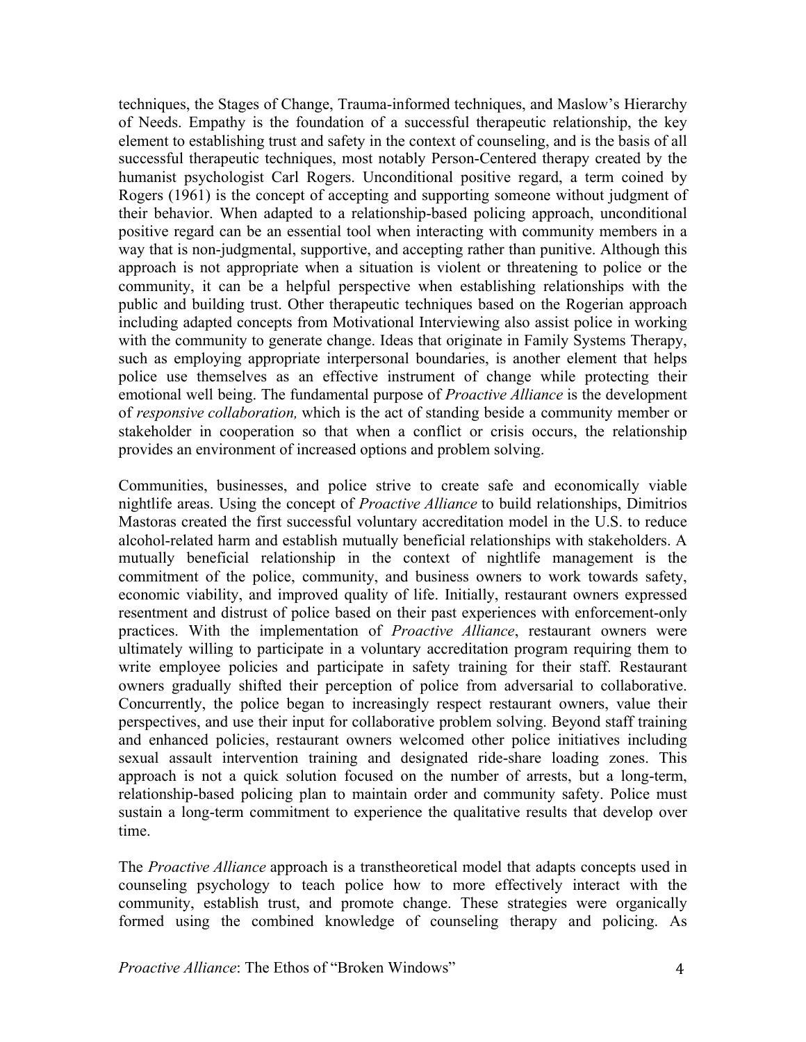techniques, the Stages of Change, Trauma-informed techniques, and Maslow's Hierarchy of Needs. Empathy is the foundation of a successful therapeutic relationship, the key element to establishing trust and safety in the context of counseling, and is the basis of all successful therapeutic techniques, most notably Person-Centered therapy created by the humanist psychologist Carl Rogers. Unconditional positive regard, a term coined by Rogers (1961) is the concept of accepting and supporting someone without judgment of their behavior. When adapted to a relationship-based policing approach, unconditional positive regard can be an essential tool when interacting with community members in a way that is non-judgmental, supportive, and accepting rather than punitive. Although this approach is not appropriate when a situation is violent or threatening to police or the community, it can be a helpful perspective when establishing relationships with the public and building trust. Other therapeutic techniques based on the Rogerian approach including adapted concepts from Motivational Interviewing also assist police in working with the community to generate change. Ideas that originate in Family Systems Therapy, such as employing appropriate interpersonal boundaries, is another element that helps police use themselves as an effective instrument of change while protecting their emotional well being. The fundamental purpose of *Proactive Alliance* is the development of *responsive collaboration,* which is the act of standing beside a community member or stakeholder in cooperation so that when a conflict or crisis occurs, the relationship provides an environment of increased options and problem solving.

Communities, businesses, and police strive to create safe and economically viable nightlife areas. Using the concept of *Proactive Alliance* to build relationships, Dimitrios Mastoras created the first successful voluntary accreditation model in the U.S. to reduce alcohol-related harm and establish mutually beneficial relationships with stakeholders. A mutually beneficial relationship in the context of nightlife management is the commitment of the police, community, and business owners to work towards safety, economic viability, and improved quality of life. Initially, restaurant owners expressed resentment and distrust of police based on their past experiences with enforcement-only practices. With the implementation of *Proactive Alliance*, restaurant owners were ultimately willing to participate in a voluntary accreditation program requiring them to write employee policies and participate in safety training for their staff. Restaurant owners gradually shifted their perception of police from adversarial to collaborative. Concurrently, the police began to increasingly respect restaurant owners, value their perspectives, and use their input for collaborative problem solving. Beyond staff training and enhanced policies, restaurant owners welcomed other police initiatives including sexual assault intervention training and designated ride-share loading zones. This approach is not a quick solution focused on the number of arrests, but a long-term, relationship-based policing plan to maintain order and community safety. Police must sustain a long-term commitment to experience the qualitative results that develop over time.

The *Proactive Alliance* approach is a transtheoretical model that adapts concepts used in counseling psychology to teach police how to more effectively interact with the community, establish trust, and promote change. These strategies were organically formed using the combined knowledge of counseling therapy and policing. As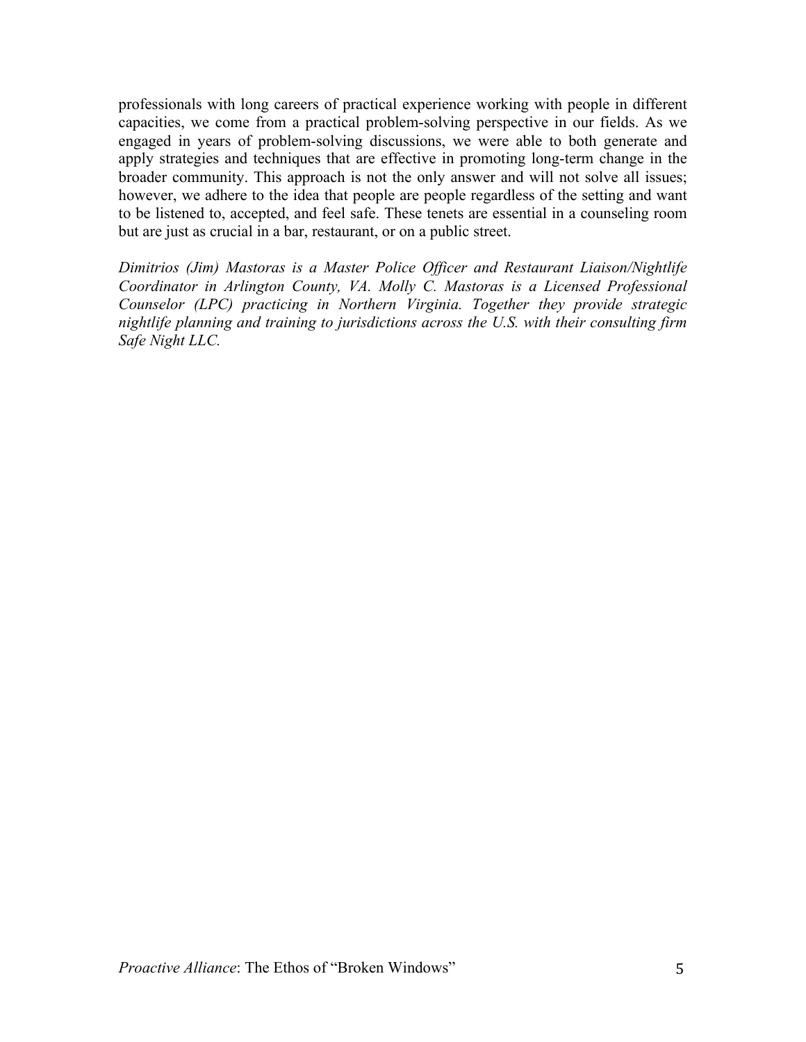professionals with long careers of practical experience working with people in different capacities, we come from a practical problem-solving perspective in our fields. As we engaged in years of problem-solving discussions, we were able to both generate and apply strategies and techniques that are effective in promoting long-term change in the broader community. This approach is not the only answer and will not solve all issues; however, we adhere to the idea that people are people regardless of the setting and want to be listened to, accepted, and feel safe. These tenets are essential in a counseling room but are just as crucial in a bar, restaurant, or on a public street.

*Dimitrios (Jim) Mastoras is a Master Police Officer and Restaurant Liaison/Nightlife Coordinator in Arlington County, VA. Molly C. Mastoras is a Licensed Professional Counselor (LPC) practicing in Northern Virginia. Together they provide strategic nightlife planning and training to jurisdictions across the U.S. with their consulting firm Safe Night LLC.*